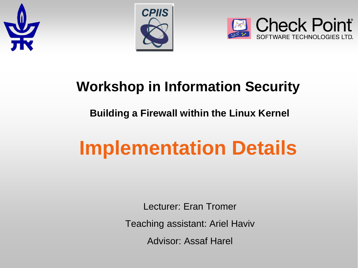





#### **Workshop in Information Security**

#### **Building a Firewall within the Linux Kernel**

# **Implementation Details**

Lecturer: Eran Tromer

Teaching assistant: Ariel Haviv

Advisor: Assaf Harel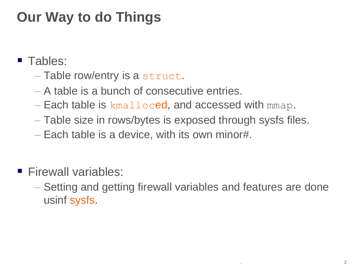### **Our Way to do Things**

- **Tables:** 
	- Table row/entry is a struct.
	- A table is a bunch of consecutive entries.
	- $-$  Each table is  $kmalloced$ , and accessed with mmap.
	- Table size in rows/bytes is exposed through sysfs files.
	- Each table is a device, with its own minor#.
- **Firewall variables:** 
	- Setting and getting firewall variables and features are done usinf sysfs.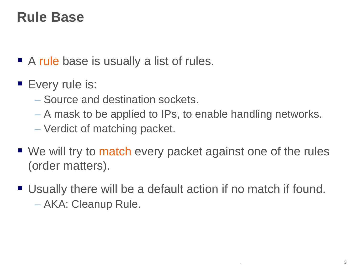#### **Rule Base**

- A rule base is usually a list of rules.
- **Every rule is:** 
	- Source and destination sockets.
	- A mask to be applied to IPs, to enable handling networks.
	- Verdict of matching packet.
- We will try to match every packet against one of the rules (order matters).
- Usually there will be a default action if no match if found. – AKA: Cleanup Rule.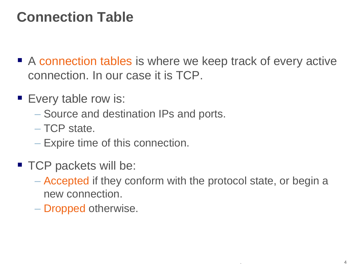#### **Connection Table**

- A connection tables is where we keep track of every active connection. In our case it is TCP.
- **Every table row is:** 
	- Source and destination IPs and ports.
	- TCP state.
	- Expire time of this connection.
- TCP packets will be:
	- Accepted if they conform with the protocol state, or begin a new connection.
	- Dropped otherwise.